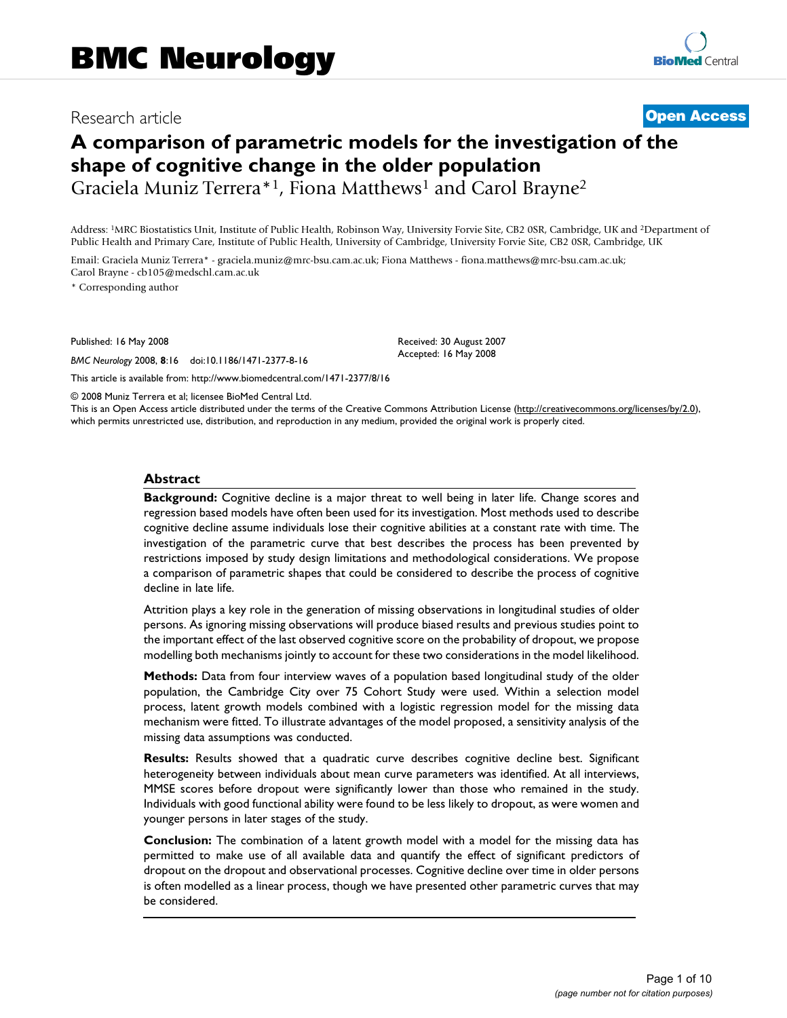## Research article **[Open Access](http://www.biomedcentral.com/info/about/charter/)**

# **A comparison of parametric models for the investigation of the shape of cognitive change in the older population**

Graciela Muniz Terrera\*1, Fiona Matthews1 and Carol Brayne2

Address: 1MRC Biostatistics Unit, Institute of Public Health, Robinson Way, University Forvie Site, CB2 0SR, Cambridge, UK and 2Department of Public Health and Primary Care, Institute of Public Health, University of Cambridge, University Forvie Site, CB2 0SR, Cambridge, UK

Email: Graciela Muniz Terrera\* - graciela.muniz@mrc-bsu.cam.ac.uk; Fiona Matthews - fiona.matthews@mrc-bsu.cam.ac.uk; Carol Brayne - cb105@medschl.cam.ac.uk

\* Corresponding author

Published: 16 May 2008

*BMC Neurology* 2008, **8**:16 doi:10.1186/1471-2377-8-16

[This article is available from: http://www.biomedcentral.com/1471-2377/8/16](http://www.biomedcentral.com/1471-2377/8/16)

© 2008 Muniz Terrera et al; licensee BioMed Central Ltd.

This is an Open Access article distributed under the terms of the Creative Commons Attribution License [\(http://creativecommons.org/licenses/by/2.0\)](http://creativecommons.org/licenses/by/2.0), which permits unrestricted use, distribution, and reproduction in any medium, provided the original work is properly cited.

Received: 30 August 2007 Accepted: 16 May 2008

#### **Abstract**

**Background:** Cognitive decline is a major threat to well being in later life. Change scores and regression based models have often been used for its investigation. Most methods used to describe cognitive decline assume individuals lose their cognitive abilities at a constant rate with time. The investigation of the parametric curve that best describes the process has been prevented by restrictions imposed by study design limitations and methodological considerations. We propose a comparison of parametric shapes that could be considered to describe the process of cognitive decline in late life.

Attrition plays a key role in the generation of missing observations in longitudinal studies of older persons. As ignoring missing observations will produce biased results and previous studies point to the important effect of the last observed cognitive score on the probability of dropout, we propose modelling both mechanisms jointly to account for these two considerations in the model likelihood.

**Methods:** Data from four interview waves of a population based longitudinal study of the older population, the Cambridge City over 75 Cohort Study were used. Within a selection model process, latent growth models combined with a logistic regression model for the missing data mechanism were fitted. To illustrate advantages of the model proposed, a sensitivity analysis of the missing data assumptions was conducted.

**Results:** Results showed that a quadratic curve describes cognitive decline best. Significant heterogeneity between individuals about mean curve parameters was identified. At all interviews, MMSE scores before dropout were significantly lower than those who remained in the study. Individuals with good functional ability were found to be less likely to dropout, as were women and younger persons in later stages of the study.

**Conclusion:** The combination of a latent growth model with a model for the missing data has permitted to make use of all available data and quantify the effect of significant predictors of dropout on the dropout and observational processes. Cognitive decline over time in older persons is often modelled as a linear process, though we have presented other parametric curves that may be considered.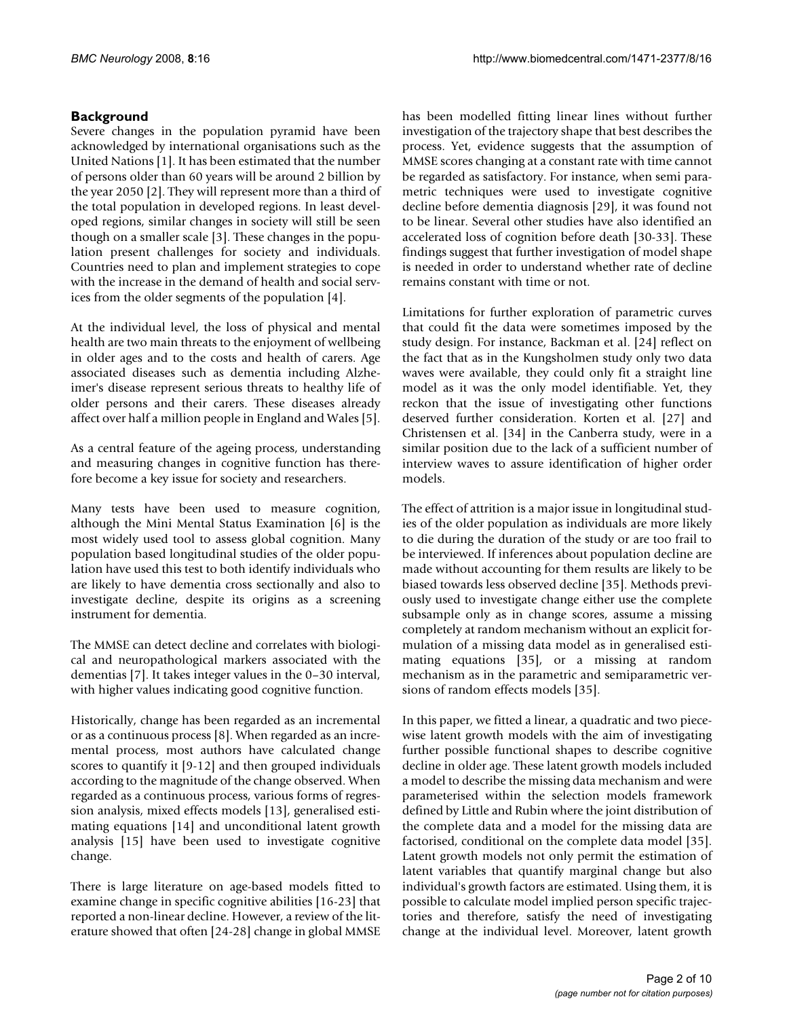#### **Background**

Severe changes in the population pyramid have been acknowledged by international organisations such as the United Nations [1]. It has been estimated that the number of persons older than 60 years will be around 2 billion by the year 2050 [2]. They will represent more than a third of the total population in developed regions. In least developed regions, similar changes in society will still be seen though on a smaller scale [3]. These changes in the population present challenges for society and individuals. Countries need to plan and implement strategies to cope with the increase in the demand of health and social services from the older segments of the population [4].

At the individual level, the loss of physical and mental health are two main threats to the enjoyment of wellbeing in older ages and to the costs and health of carers. Age associated diseases such as dementia including Alzheimer's disease represent serious threats to healthy life of older persons and their carers. These diseases already affect over half a million people in England and Wales [5].

As a central feature of the ageing process, understanding and measuring changes in cognitive function has therefore become a key issue for society and researchers.

Many tests have been used to measure cognition, although the Mini Mental Status Examination [6] is the most widely used tool to assess global cognition. Many population based longitudinal studies of the older population have used this test to both identify individuals who are likely to have dementia cross sectionally and also to investigate decline, despite its origins as a screening instrument for dementia.

The MMSE can detect decline and correlates with biological and neuropathological markers associated with the dementias [7]. It takes integer values in the 0–30 interval, with higher values indicating good cognitive function.

Historically, change has been regarded as an incremental or as a continuous process [8]. When regarded as an incremental process, most authors have calculated change scores to quantify it [9-12] and then grouped individuals according to the magnitude of the change observed. When regarded as a continuous process, various forms of regression analysis, mixed effects models [13], generalised estimating equations [14] and unconditional latent growth analysis [15] have been used to investigate cognitive change.

There is large literature on age-based models fitted to examine change in specific cognitive abilities [16-23] that reported a non-linear decline. However, a review of the literature showed that often [24-28] change in global MMSE has been modelled fitting linear lines without further investigation of the trajectory shape that best describes the process. Yet, evidence suggests that the assumption of MMSE scores changing at a constant rate with time cannot be regarded as satisfactory. For instance, when semi parametric techniques were used to investigate cognitive decline before dementia diagnosis [29], it was found not to be linear. Several other studies have also identified an accelerated loss of cognition before death [30-33]. These findings suggest that further investigation of model shape is needed in order to understand whether rate of decline remains constant with time or not.

Limitations for further exploration of parametric curves that could fit the data were sometimes imposed by the study design. For instance, Backman et al. [24] reflect on the fact that as in the Kungsholmen study only two data waves were available, they could only fit a straight line model as it was the only model identifiable. Yet, they reckon that the issue of investigating other functions deserved further consideration. Korten et al. [27] and Christensen et al. [34] in the Canberra study, were in a similar position due to the lack of a sufficient number of interview waves to assure identification of higher order models.

The effect of attrition is a major issue in longitudinal studies of the older population as individuals are more likely to die during the duration of the study or are too frail to be interviewed. If inferences about population decline are made without accounting for them results are likely to be biased towards less observed decline [35]. Methods previously used to investigate change either use the complete subsample only as in change scores, assume a missing completely at random mechanism without an explicit formulation of a missing data model as in generalised estimating equations [35], or a missing at random mechanism as in the parametric and semiparametric versions of random effects models [35].

In this paper, we fitted a linear, a quadratic and two piecewise latent growth models with the aim of investigating further possible functional shapes to describe cognitive decline in older age. These latent growth models included a model to describe the missing data mechanism and were parameterised within the selection models framework defined by Little and Rubin where the joint distribution of the complete data and a model for the missing data are factorised, conditional on the complete data model [35]. Latent growth models not only permit the estimation of latent variables that quantify marginal change but also individual's growth factors are estimated. Using them, it is possible to calculate model implied person specific trajectories and therefore, satisfy the need of investigating change at the individual level. Moreover, latent growth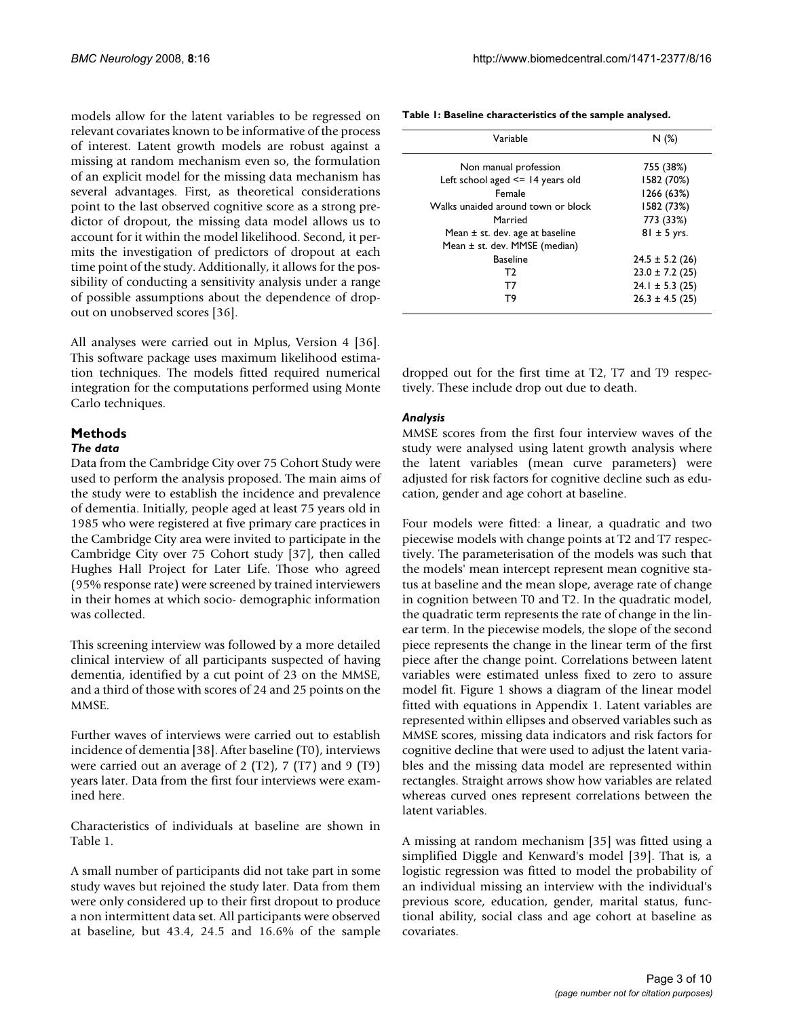models allow for the latent variables to be regressed on relevant covariates known to be informative of the process of interest. Latent growth models are robust against a missing at random mechanism even so, the formulation of an explicit model for the missing data mechanism has several advantages. First, as theoretical considerations point to the last observed cognitive score as a strong predictor of dropout, the missing data model allows us to account for it within the model likelihood. Second, it permits the investigation of predictors of dropout at each time point of the study. Additionally, it allows for the possibility of conducting a sensitivity analysis under a range of possible assumptions about the dependence of dropout on unobserved scores [36].

All analyses were carried out in Mplus, Version 4 [36]. This software package uses maximum likelihood estimation techniques. The models fitted required numerical integration for the computations performed using Monte Carlo techniques.

### **Methods**

#### *The data*

Data from the Cambridge City over 75 Cohort Study were used to perform the analysis proposed. The main aims of the study were to establish the incidence and prevalence of dementia. Initially, people aged at least 75 years old in 1985 who were registered at five primary care practices in the Cambridge City area were invited to participate in the Cambridge City over 75 Cohort study [37], then called Hughes Hall Project for Later Life. Those who agreed (95% response rate) were screened by trained interviewers in their homes at which socio- demographic information was collected.

This screening interview was followed by a more detailed clinical interview of all participants suspected of having dementia, identified by a cut point of 23 on the MMSE, and a third of those with scores of 24 and 25 points on the MMSE.

Further waves of interviews were carried out to establish incidence of dementia [38]. After baseline (T0), interviews were carried out an average of 2 (T2), 7 (T7) and 9 (T9) years later. Data from the first four interviews were examined here.

Characteristics of individuals at baseline are shown in Table 1.

A small number of participants did not take part in some study waves but rejoined the study later. Data from them were only considered up to their first dropout to produce a non intermittent data set. All participants were observed at baseline, but 43.4, 24.5 and 16.6% of the sample

| Table 1: Baseline characteristics of the sample analysed. |  |
|-----------------------------------------------------------|--|
|-----------------------------------------------------------|--|

| Variable                            | N(%)                |
|-------------------------------------|---------------------|
| Non manual profession               | 755 (38%)           |
| Left school aged $\le$ 14 years old | 1582 (70%)          |
| Female                              | 1266 (63%)          |
| Walks unaided around town or block  | 1582 (73%)          |
| Married                             | 773 (33%)           |
| Mean $\pm$ st. dev. age at baseline | $81 \pm 5$ yrs.     |
| Mean ± st. dev. MMSE (median)       |                     |
| <b>Baseline</b>                     | $24.5 \pm 5.2$ (26) |
| T2                                  | $23.0 \pm 7.2$ (25) |
| T7                                  | $24.1 \pm 5.3$ (25) |
| Т9                                  | $26.3 \pm 4.5$ (25) |
|                                     |                     |

dropped out for the first time at T2, T7 and T9 respectively. These include drop out due to death.

#### *Analysis*

MMSE scores from the first four interview waves of the study were analysed using latent growth analysis where the latent variables (mean curve parameters) were adjusted for risk factors for cognitive decline such as education, gender and age cohort at baseline.

Four models were fitted: a linear, a quadratic and two piecewise models with change points at T2 and T7 respectively. The parameterisation of the models was such that the models' mean intercept represent mean cognitive status at baseline and the mean slope, average rate of change in cognition between T0 and T2. In the quadratic model, the quadratic term represents the rate of change in the linear term. In the piecewise models, the slope of the second piece represents the change in the linear term of the first piece after the change point. Correlations between latent variables were estimated unless fixed to zero to assure model fit. Figure 1 shows a diagram of the linear model fitted with equations in Appendix 1. Latent variables are represented within ellipses and observed variables such as MMSE scores, missing data indicators and risk factors for cognitive decline that were used to adjust the latent variables and the missing data model are represented within rectangles. Straight arrows show how variables are related whereas curved ones represent correlations between the latent variables.

A missing at random mechanism [35] was fitted using a simplified Diggle and Kenward's model [39]. That is, a logistic regression was fitted to model the probability of an individual missing an interview with the individual's previous score, education, gender, marital status, functional ability, social class and age cohort at baseline as covariates.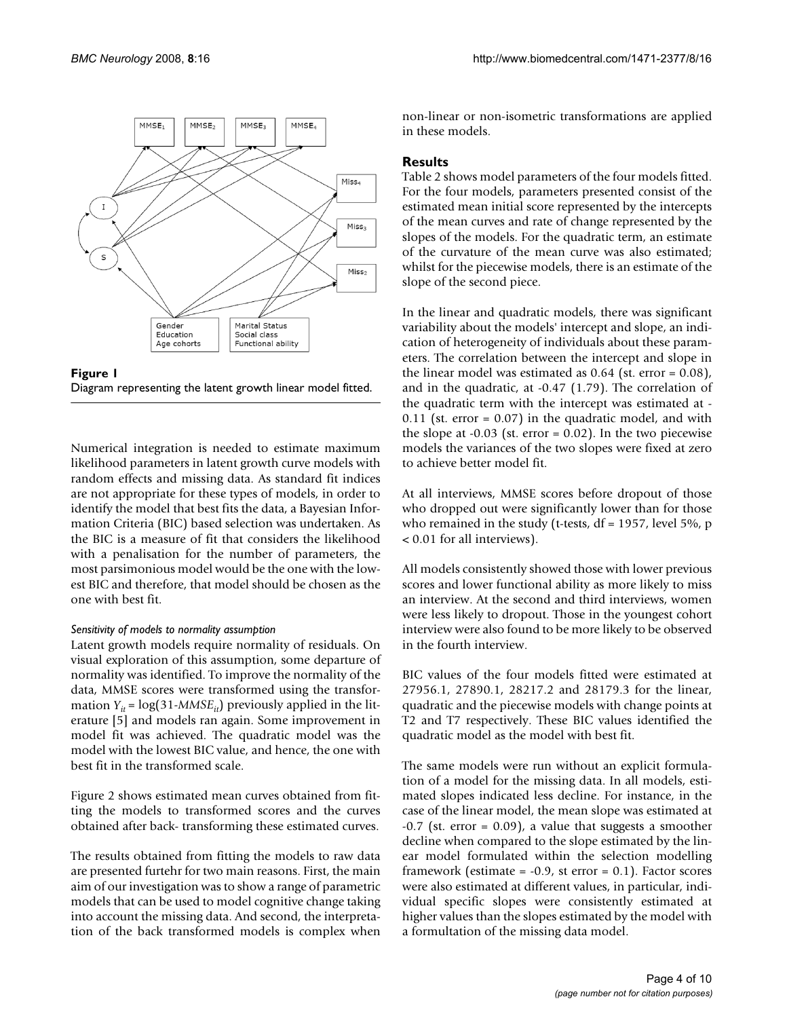



Numerical integration is needed to estimate maximum likelihood parameters in latent growth curve models with random effects and missing data. As standard fit indices are not appropriate for these types of models, in order to identify the model that best fits the data, a Bayesian Information Criteria (BIC) based selection was undertaken. As the BIC is a measure of fit that considers the likelihood with a penalisation for the number of parameters, the most parsimonious model would be the one with the lowest BIC and therefore, that model should be chosen as the one with best fit.

#### *Sensitivity of models to normality assumption*

Latent growth models require normality of residuals. On visual exploration of this assumption, some departure of normality was identified. To improve the normality of the data, MMSE scores were transformed using the transformation  $Y_{it} = \log(31 \text{-} MMSE_{it})$  previously applied in the literature [5] and models ran again. Some improvement in model fit was achieved. The quadratic model was the model with the lowest BIC value, and hence, the one with best fit in the transformed scale.

Figure 2 shows estimated mean curves obtained from fitting the models to transformed scores and the curves obtained after back- transforming these estimated curves.

The results obtained from fitting the models to raw data are presented furtehr for two main reasons. First, the main aim of our investigation was to show a range of parametric models that can be used to model cognitive change taking into account the missing data. And second, the interpretation of the back transformed models is complex when

non-linear or non-isometric transformations are applied in these models.

#### **Results**

Table 2 shows model parameters of the four models fitted. For the four models, parameters presented consist of the estimated mean initial score represented by the intercepts of the mean curves and rate of change represented by the slopes of the models. For the quadratic term, an estimate of the curvature of the mean curve was also estimated; whilst for the piecewise models, there is an estimate of the slope of the second piece.

In the linear and quadratic models, there was significant variability about the models' intercept and slope, an indication of heterogeneity of individuals about these parameters. The correlation between the intercept and slope in the linear model was estimated as  $0.64$  (st. error =  $0.08$ ), and in the quadratic, at -0.47 (1.79). The correlation of the quadratic term with the intercept was estimated at - 0.11 (st. error =  $0.07$ ) in the quadratic model, and with the slope at  $-0.03$  (st. error  $= 0.02$ ). In the two piecewise models the variances of the two slopes were fixed at zero to achieve better model fit.

At all interviews, MMSE scores before dropout of those who dropped out were significantly lower than for those who remained in the study (t-tests,  $df = 1957$ , level 5%, p < 0.01 for all interviews).

All models consistently showed those with lower previous scores and lower functional ability as more likely to miss an interview. At the second and third interviews, women were less likely to dropout. Those in the youngest cohort interview were also found to be more likely to be observed in the fourth interview.

BIC values of the four models fitted were estimated at 27956.1, 27890.1, 28217.2 and 28179.3 for the linear, quadratic and the piecewise models with change points at T2 and T7 respectively. These BIC values identified the quadratic model as the model with best fit.

The same models were run without an explicit formulation of a model for the missing data. In all models, estimated slopes indicated less decline. For instance, in the case of the linear model, the mean slope was estimated at -0.7 (st. error = 0.09), a value that suggests a smoother decline when compared to the slope estimated by the linear model formulated within the selection modelling framework (estimate =  $-0.9$ , st error = 0.1). Factor scores were also estimated at different values, in particular, individual specific slopes were consistently estimated at higher values than the slopes estimated by the model with a formultation of the missing data model.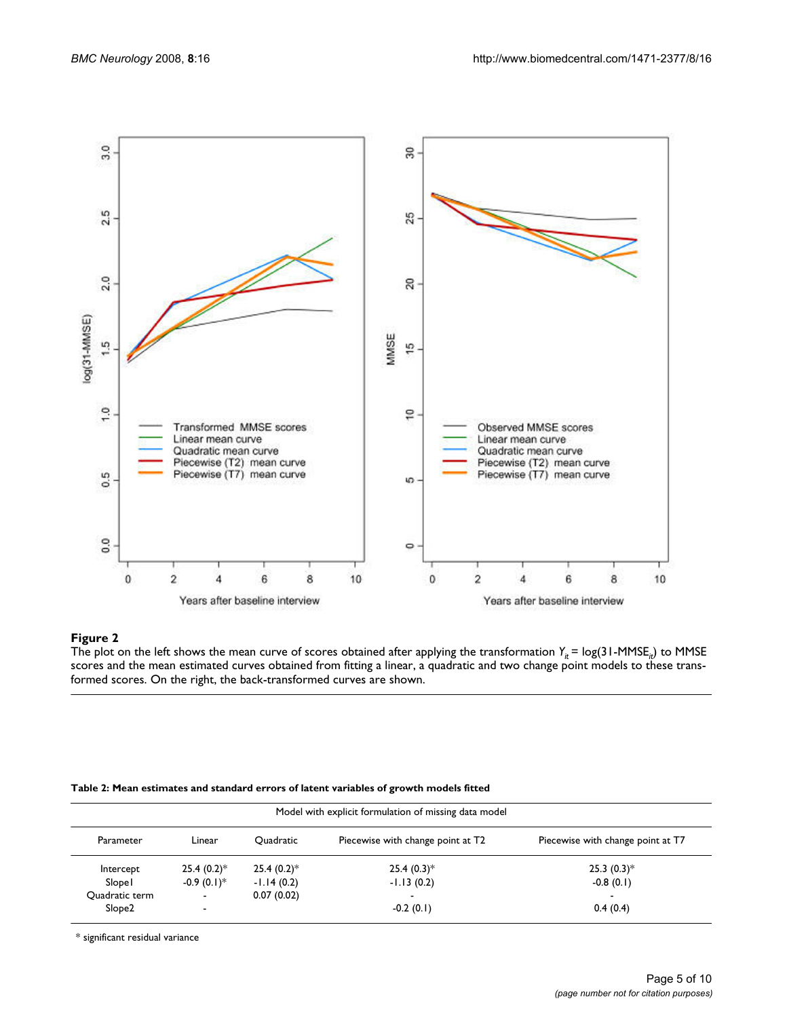

**Example 2** and the contract of the contract of the contract of the contract of the contract of the contract of the contract of the contract of the contract of the contract of the contract of the contract of the contract o The plot on the left shows the mean curve of scores obtained after applying the transformation  $Y_{it}$  = log(31-MMSE $_{it}$ ) to MMSE scores and the mean estimated curves obtained from fitting a linear, a quadratic and two change point models to these transformed scores. On the right, the back-transformed curves are shown.

#### **Table 2: Mean estimates and standard errors of latent variables of growth models fitted**

| Model with explicit formulation of missing data model |                          |                  |                                   |                                   |
|-------------------------------------------------------|--------------------------|------------------|-----------------------------------|-----------------------------------|
| Parameter                                             | Linear                   | <b>Ouadratic</b> | Piecewise with change point at T2 | Piecewise with change point at T7 |
| Intercept                                             | $25.4(0.2)*$             | $25.4(0.2)$ *    | $25.4(0.3)*$                      | $25.3(0.3)*$                      |
| Slopel                                                | $-0.9(0.1)*$             | $-1.14(0.2)$     | $-1.13(0.2)$                      | $-0.8(0.1)$                       |
| Quadratic term                                        | $\overline{\phantom{a}}$ | 0.07(0.02)       |                                   |                                   |
| Slope <sub>2</sub>                                    | $\overline{\phantom{a}}$ |                  | $-0.2(0.1)$                       | 0.4(0.4)                          |

\* significant residual variance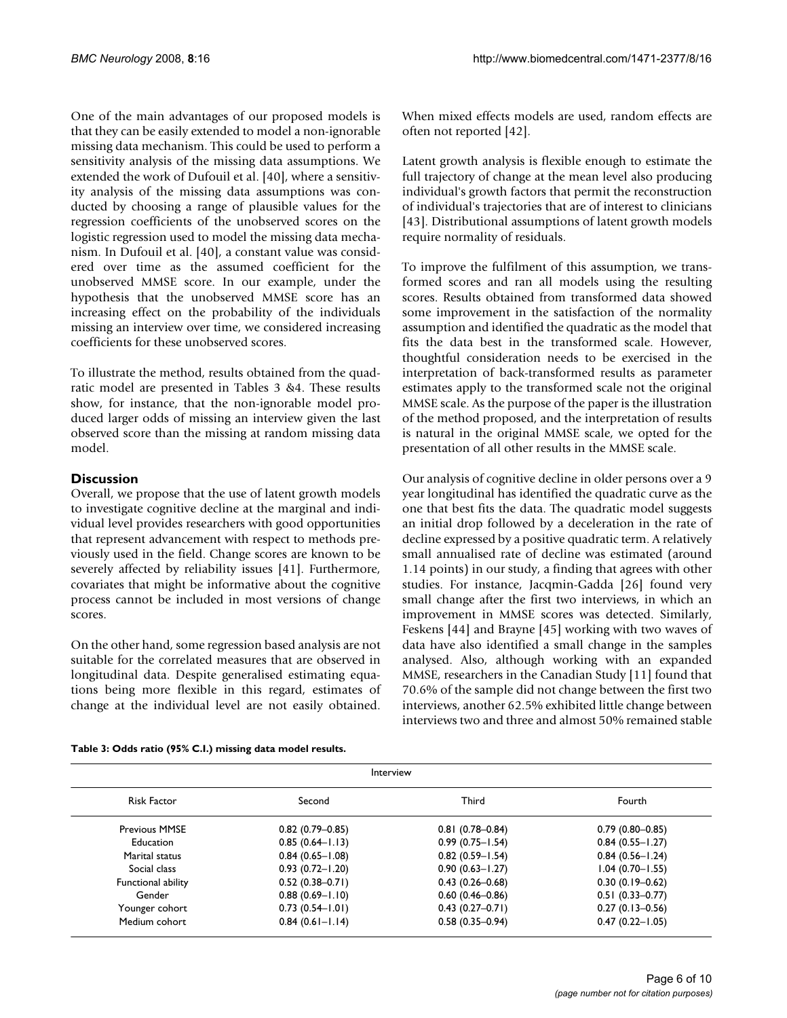One of the main advantages of our proposed models is that they can be easily extended to model a non-ignorable missing data mechanism. This could be used to perform a sensitivity analysis of the missing data assumptions. We extended the work of Dufouil et al. [40], where a sensitivity analysis of the missing data assumptions was conducted by choosing a range of plausible values for the regression coefficients of the unobserved scores on the logistic regression used to model the missing data mechanism. In Dufouil et al. [40], a constant value was considered over time as the assumed coefficient for the unobserved MMSE score. In our example, under the hypothesis that the unobserved MMSE score has an increasing effect on the probability of the individuals missing an interview over time, we considered increasing coefficients for these unobserved scores.

To illustrate the method, results obtained from the quadratic model are presented in Tables 3 &4. These results show, for instance, that the non-ignorable model produced larger odds of missing an interview given the last observed score than the missing at random missing data model.

### **Discussion**

Overall, we propose that the use of latent growth models to investigate cognitive decline at the marginal and individual level provides researchers with good opportunities that represent advancement with respect to methods previously used in the field. Change scores are known to be severely affected by reliability issues [41]. Furthermore, covariates that might be informative about the cognitive process cannot be included in most versions of change scores.

On the other hand, some regression based analysis are not suitable for the correlated measures that are observed in longitudinal data. Despite generalised estimating equations being more flexible in this regard, estimates of change at the individual level are not easily obtained. When mixed effects models are used, random effects are often not reported [42].

Latent growth analysis is flexible enough to estimate the full trajectory of change at the mean level also producing individual's growth factors that permit the reconstruction of individual's trajectories that are of interest to clinicians [43]. Distributional assumptions of latent growth models require normality of residuals.

To improve the fulfilment of this assumption, we transformed scores and ran all models using the resulting scores. Results obtained from transformed data showed some improvement in the satisfaction of the normality assumption and identified the quadratic as the model that fits the data best in the transformed scale. However, thoughtful consideration needs to be exercised in the interpretation of back-transformed results as parameter estimates apply to the transformed scale not the original MMSE scale. As the purpose of the paper is the illustration of the method proposed, and the interpretation of results is natural in the original MMSE scale, we opted for the presentation of all other results in the MMSE scale.

Our analysis of cognitive decline in older persons over a 9 year longitudinal has identified the quadratic curve as the one that best fits the data. The quadratic model suggests an initial drop followed by a deceleration in the rate of decline expressed by a positive quadratic term. A relatively small annualised rate of decline was estimated (around 1.14 points) in our study, a finding that agrees with other studies. For instance, Jacqmin-Gadda [26] found very small change after the first two interviews, in which an improvement in MMSE scores was detected. Similarly, Feskens [44] and Brayne [45] working with two waves of data have also identified a small change in the samples analysed. Also, although working with an expanded MMSE, researchers in the Canadian Study [11] found that 70.6% of the sample did not change between the first two interviews, another 62.5% exhibited little change between interviews two and three and almost 50% remained stable

| Interview                            |                     |                     |                     |  |
|--------------------------------------|---------------------|---------------------|---------------------|--|
| <b>Risk Factor</b>                   | Second              | Third               | Fourth              |  |
| <b>Previous MMSE</b>                 | $0.82(0.79 - 0.85)$ | $0.81(0.78 - 0.84)$ | $0.79(0.80 - 0.85)$ |  |
| <b>Education</b>                     | $0.85(0.64 - 1.13)$ | $0.99(0.75 - 1.54)$ | $0.84(0.55 - 1.27)$ |  |
| Marital status                       | $0.84(0.65 - 1.08)$ | $0.82$ (0.59-1.54)  | $0.84$ (0.56-1.24)  |  |
| Social class                         | $0.93(0.72 - 1.20)$ | $0.90(0.63 - 1.27)$ | $1.04(0.70 - 1.55)$ |  |
| Functional ability                   | $0.52(0.38 - 0.71)$ | $0.43(0.26 - 0.68)$ | $0.30(0.19 - 0.62)$ |  |
| Gender                               | $0.88(0.69 - 1.10)$ | $0.60(0.46 - 0.86)$ | $0.51(0.33 - 0.77)$ |  |
| Younger cohort                       | $0.73(0.54 - 1.01)$ | $0.43(0.27 - 0.71)$ | $0.27(0.13 - 0.56)$ |  |
| Medium cohort<br>$0.84(0.61 - 1.14)$ |                     | $0.58(0.35 - 0.94)$ | $0.47(0.22 - 1.05)$ |  |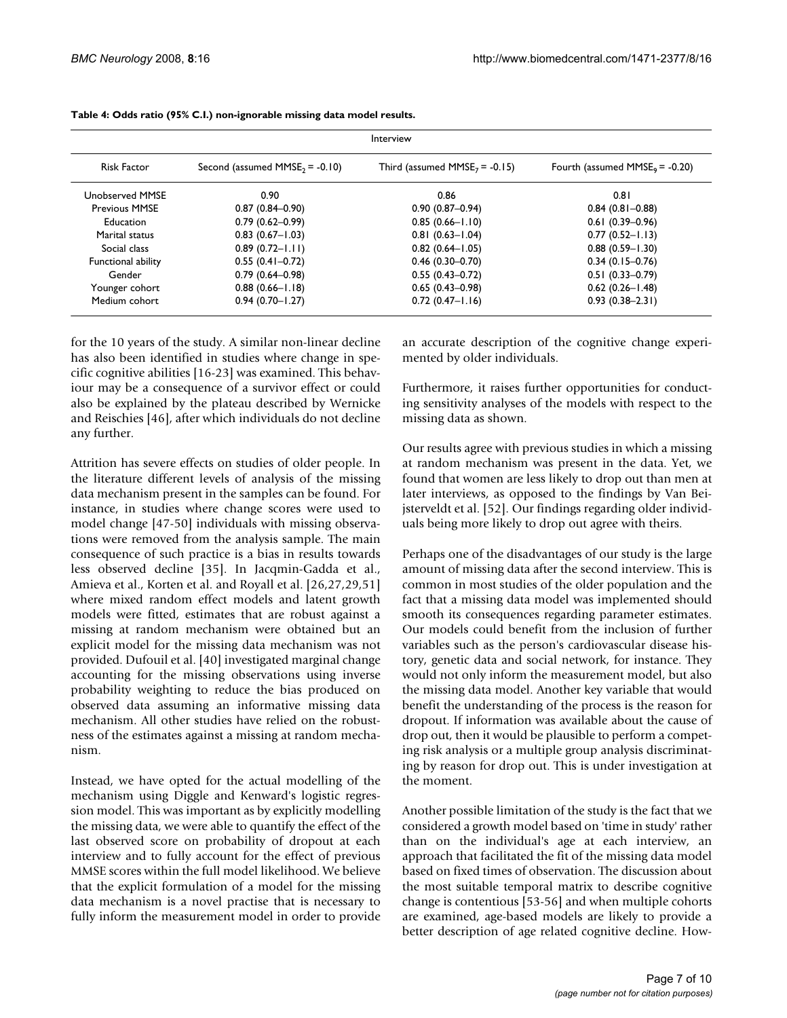| Interview              |                                    |                                   |                                   |  |  |
|------------------------|------------------------------------|-----------------------------------|-----------------------------------|--|--|
| <b>Risk Factor</b>     | Second (assumed $MMSE_2 = -0.10$ ) | Third (assumed $MMSE_7 = -0.15$ ) | Fourth (assumed $MMSE0 = -0.20$ ) |  |  |
| <b>Unobserved MMSE</b> | 0.90                               | 0.86                              | 0.81                              |  |  |
| <b>Previous MMSE</b>   | $0.87(0.84 - 0.90)$                | $0.90(0.87 - 0.94)$               | $0.84(0.81 - 0.88)$               |  |  |
| Education              | $0.79(0.62 - 0.99)$                | $0.85(0.66 - 1.10)$               | $0.61(0.39 - 0.96)$               |  |  |
| Marital status         | $0.83(0.67 - 1.03)$                | $0.81(0.63 - 1.04)$               | $0.77(0.52 - 1.13)$               |  |  |
| Social class           | $0.89(0.72 - 1.11)$                | $0.82(0.64 - 1.05)$               | $0.88(0.59 - 1.30)$               |  |  |
| Functional ability     | $0.55(0.41 - 0.72)$                | $0.46(0.30 - 0.70)$               | $0.34(0.15-0.76)$                 |  |  |
| Gender                 | $0.79(0.64 - 0.98)$                | $0.55(0.43 - 0.72)$               | $0.51(0.33 - 0.79)$               |  |  |
| Younger cohort         | $0.88(0.66 - 1.18)$                | $0.65(0.43 - 0.98)$               | $0.62(0.26 - 1.48)$               |  |  |
| Medium cohort          | $0.94(0.70 - 1.27)$                | $0.72(0.47 - 1.16)$               | $0.93(0.38 - 2.31)$               |  |  |

**Table 4: Odds ratio (95% C.I.) non-ignorable missing data model results.**

for the 10 years of the study. A similar non-linear decline has also been identified in studies where change in specific cognitive abilities [16-23] was examined. This behaviour may be a consequence of a survivor effect or could also be explained by the plateau described by Wernicke and Reischies [46], after which individuals do not decline any further.

Attrition has severe effects on studies of older people. In the literature different levels of analysis of the missing data mechanism present in the samples can be found. For instance, in studies where change scores were used to model change [47-50] individuals with missing observations were removed from the analysis sample. The main consequence of such practice is a bias in results towards less observed decline [35]. In Jacqmin-Gadda et al., Amieva et al., Korten et al. and Royall et al. [26,27,29,51] where mixed random effect models and latent growth models were fitted, estimates that are robust against a missing at random mechanism were obtained but an explicit model for the missing data mechanism was not provided. Dufouil et al. [40] investigated marginal change accounting for the missing observations using inverse probability weighting to reduce the bias produced on observed data assuming an informative missing data mechanism. All other studies have relied on the robustness of the estimates against a missing at random mechanism.

Instead, we have opted for the actual modelling of the mechanism using Diggle and Kenward's logistic regression model. This was important as by explicitly modelling the missing data, we were able to quantify the effect of the last observed score on probability of dropout at each interview and to fully account for the effect of previous MMSE scores within the full model likelihood. We believe that the explicit formulation of a model for the missing data mechanism is a novel practise that is necessary to fully inform the measurement model in order to provide an accurate description of the cognitive change experimented by older individuals.

Furthermore, it raises further opportunities for conducting sensitivity analyses of the models with respect to the missing data as shown.

Our results agree with previous studies in which a missing at random mechanism was present in the data. Yet, we found that women are less likely to drop out than men at later interviews, as opposed to the findings by Van Beijsterveldt et al. [52]. Our findings regarding older individuals being more likely to drop out agree with theirs.

Perhaps one of the disadvantages of our study is the large amount of missing data after the second interview. This is common in most studies of the older population and the fact that a missing data model was implemented should smooth its consequences regarding parameter estimates. Our models could benefit from the inclusion of further variables such as the person's cardiovascular disease history, genetic data and social network, for instance. They would not only inform the measurement model, but also the missing data model. Another key variable that would benefit the understanding of the process is the reason for dropout. If information was available about the cause of drop out, then it would be plausible to perform a competing risk analysis or a multiple group analysis discriminating by reason for drop out. This is under investigation at the moment.

Another possible limitation of the study is the fact that we considered a growth model based on 'time in study' rather than on the individual's age at each interview, an approach that facilitated the fit of the missing data model based on fixed times of observation. The discussion about the most suitable temporal matrix to describe cognitive change is contentious [53-56] and when multiple cohorts are examined, age-based models are likely to provide a better description of age related cognitive decline. How-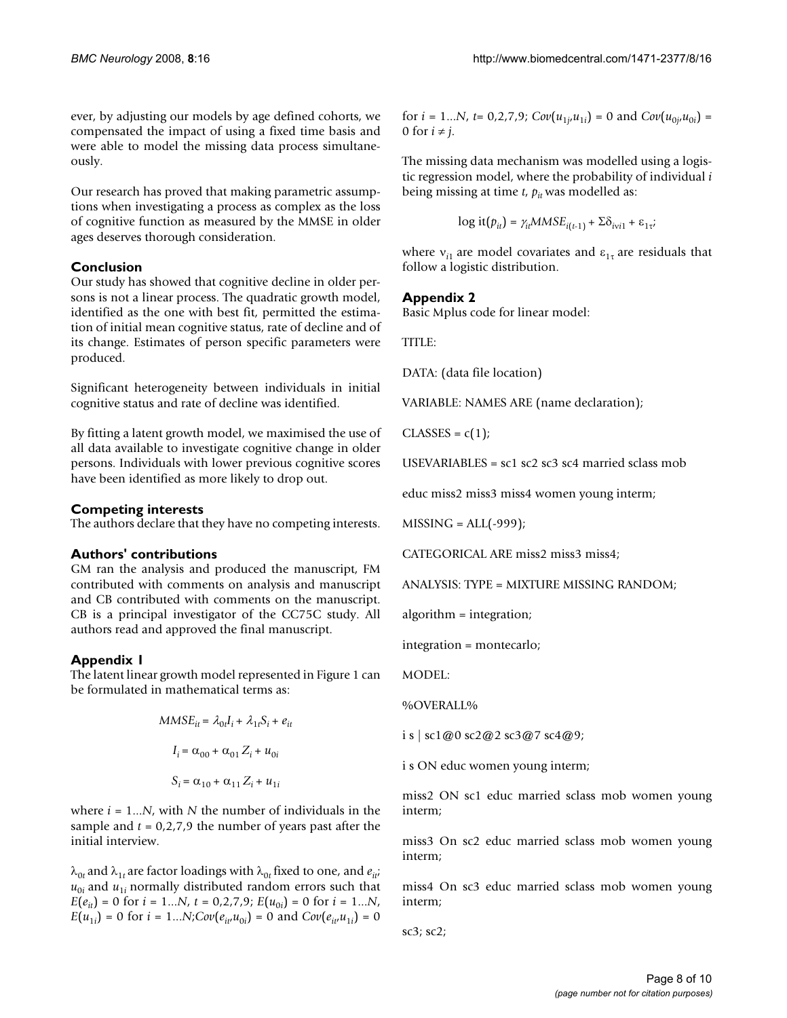ever, by adjusting our models by age defined cohorts, we compensated the impact of using a fixed time basis and were able to model the missing data process simultaneously.

Our research has proved that making parametric assumptions when investigating a process as complex as the loss of cognitive function as measured by the MMSE in older ages deserves thorough consideration.

#### **Conclusion**

Our study has showed that cognitive decline in older persons is not a linear process. The quadratic growth model, identified as the one with best fit, permitted the estimation of initial mean cognitive status, rate of decline and of its change. Estimates of person specific parameters were produced.

Significant heterogeneity between individuals in initial cognitive status and rate of decline was identified.

By fitting a latent growth model, we maximised the use of all data available to investigate cognitive change in older persons. Individuals with lower previous cognitive scores have been identified as more likely to drop out.

#### **Competing interests**

The authors declare that they have no competing interests.

#### **Authors' contributions**

GM ran the analysis and produced the manuscript, FM contributed with comments on analysis and manuscript and CB contributed with comments on the manuscript. CB is a principal investigator of the CC75C study. All authors read and approved the final manuscript.

#### **Appendix 1**

The latent linear growth model represented in Figure 1 can be formulated in mathematical terms as:

$$
MMSE_{it} = \lambda_{0t}I_i + \lambda_{1t}S_i + e_{it}
$$

$$
I_i = \alpha_{00} + \alpha_{01} Z_i + u_{0i}
$$

$$
S_i = \alpha_{10} + \alpha_{11} Z_i + u_{1i}
$$

where *i* = 1...*N*, with *N* the number of individuals in the sample and  $t = 0.2, 7, 9$  the number of years past after the initial interview.

 $\lambda_{0t}$  and  $\lambda_{1t}$  are factor loadings with  $\lambda_{0t}$  fixed to one, and  $e_{it}$ ;  $u_{0i}$  and  $u_{1i}$  normally distributed random errors such that  $E(e_{it}) = 0$  for  $i = 1...N$ ,  $t = 0,2,7,9$ ;  $E(u_{0i}) = 0$  for  $i = 1...N$ ,  $E(u_{1i}) = 0$  for  $i = 1...N$ ;  $Cov(e_{it}, u_{0i}) = 0$  and  $Cov(e_{it}, u_{1i}) = 0$ 

for  $i = 1...N$ ,  $t = 0,2,7,9$ ;  $Cov(u_{1j}, u_{1i}) = 0$  and  $Cov(u_{0j}, u_{0i}) =$ 0 for  $i \neq j$ .

The missing data mechanism was modelled using a logistic regression model, where the probability of individual *i* being missing at time  $t$ ,  $p_{it}$  was modelled as:

$$
\log i(\mathbf{p}_{it}) = \gamma_{it}MMSE_{i(t-1)} + \Sigma \delta_{ivi1} + \varepsilon_{1\tau}
$$

where  $v_{i1}$  are model covariates and  $\varepsilon_{1\tau}$  are residuals that follow a logistic distribution.

#### **Appendix 2**

Basic Mplus code for linear model:

TITLE:

DATA: (data file location)

VARIABLE: NAMES ARE (name declaration);

 $CLASSES = c(1);$ 

USEVARIABLES = sc1 sc2 sc3 sc4 married sclass mob

educ miss2 miss3 miss4 women young interm;

 $MISSING = ALL(-999);$ 

CATEGORICAL ARE miss2 miss3 miss4;

ANALYSIS: TYPE = MIXTURE MISSING RANDOM;

algorithm = integration;

integration = montecarlo;

MODEL:

%OVERALL%

i s | sc1@0 sc2@2 sc3@7 sc4@9;

i s ON educ women young interm;

miss2 ON sc1 educ married sclass mob women young interm;

miss3 On sc2 educ married sclass mob women young interm;

miss4 On sc3 educ married sclass mob women young interm;

sc3; sc2;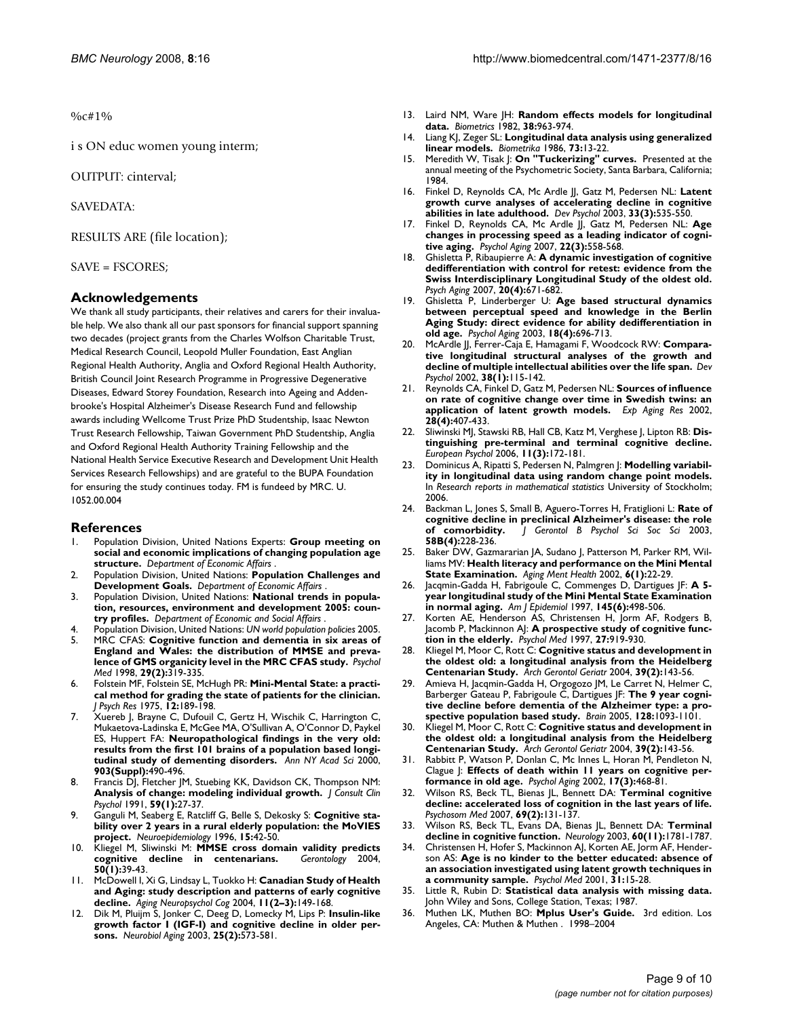%c#1%

i s ON educ women young interm;

OUTPUT: cinterval;

SAVEDATA:

RESULTS ARE (file location);

SAVE = FSCORES;

#### **Acknowledgements**

We thank all study participants, their relatives and carers for their invaluable help. We also thank all our past sponsors for financial support spanning two decades (project grants from the Charles Wolfson Charitable Trust, Medical Research Council, Leopold Muller Foundation, East Anglian Regional Health Authority, Anglia and Oxford Regional Health Authority, British Council Joint Research Programme in Progressive Degenerative Diseases, Edward Storey Foundation, Research into Ageing and Addenbrooke's Hospital Alzheimer's Disease Research Fund and fellowship awards including Wellcome Trust Prize PhD Studentship, Isaac Newton Trust Research Fellowship, Taiwan Government PhD Studentship, Anglia and Oxford Regional Health Authority Training Fellowship and the National Health Service Executive Research and Development Unit Health Services Research Fellowships) and are grateful to the BUPA Foundation for ensuring the study continues today. FM is fundeed by MRC. U. 1052.00.004

#### **References**

- 1. Population Division, United Nations Experts: **Group meeting on social and economic implications of changing population age structure.** *Department of Economic Affairs* .
- 2. Population Division, United Nations: **Population Challenges and Development Goals.** *Department of Economic Affairs* .
- 3. Population Division, United Nations: **National trends in population, resources, environment and development 2005: country profiles.** *Department of Economic and Social Affairs* .
- 4. Population Division, United Nations: *UN world population policies* 2005.
- 5. MRC CFAS: **Cognitive function and dementia in six areas of England and Wales: the distribution of MMSE and prevalence of GMS organicity level in the MRC CFAS study.** *Psychol Med* 1998, **29(2):**319-335.
- 6. Folstein MF, Folstein SE, McHugh PR: **Mini-Mental State: a practical method for grading the state of patients for the clinician.** *J Psych Res* 1975, **12:**189-198.
- 7. Xuereb J, Brayne C, Dufouil C, Gertz H, Wischik C, Harrington C, Mukaetova-Ladinska E, McGee MA, O'Sullivan A, O'Connor D, Paykel ES, Huppert FA: **Neuropathological findings in the very old: results from the first 101 brains of a population based longitudinal study of dementing disorders.** *Ann NY Acad Sci* 2000, **903(Suppl):**490-496.
- Francis DJ, Fletcher JM, Stuebing KK, Davidson CK, Thompson NM: **[Analysis of change: modeling individual growth.](http://www.ncbi.nlm.nih.gov/entrez/query.fcgi?cmd=Retrieve&db=PubMed&dopt=Abstract&list_uids=2002140)** *J Consult Clin Psychol* 1991, **59(1):**27-37.
- 9. Ganguli M, Seaberg E, Ratcliff G, Belle S, Dekosky S: **[Cognitive sta](http://www.ncbi.nlm.nih.gov/entrez/query.fcgi?cmd=Retrieve&db=PubMed&dopt=Abstract&list_uids=8719048)[bility over 2 years in a rural elderly population: the MoVIES](http://www.ncbi.nlm.nih.gov/entrez/query.fcgi?cmd=Retrieve&db=PubMed&dopt=Abstract&list_uids=8719048) [project.](http://www.ncbi.nlm.nih.gov/entrez/query.fcgi?cmd=Retrieve&db=PubMed&dopt=Abstract&list_uids=8719048)** *Neuroepidemiology* 1996, **15:**42-50.
- 10. Kliegel M, Sliwinski M: **[MMSE cross domain validity predicts](http://www.ncbi.nlm.nih.gov/entrez/query.fcgi?cmd=Retrieve&db=PubMed&dopt=Abstract&list_uids=14654726) [cognitive decline in centenarians.](http://www.ncbi.nlm.nih.gov/entrez/query.fcgi?cmd=Retrieve&db=PubMed&dopt=Abstract&list_uids=14654726)** *Gerontology* 2004, **50(1):**39-43.
- 11. McDowell I, Xi G, Lindsay L, Tuokko H: **Canadian Study of Health and Aging: study description and patterns of early cognitive decline.** *Aging Neuropsychol Cog* 2004, **11(2–3):**149-168.
- 12. Dik M, Pluijm S, Jonker C, Deeg D, Lomecky M, Lips P: **Insulin-like growth factor I (IGF-I) and cognitive decline in older persons.** *Neurobiol Aging* 2003, **25(2):**573-581.
- 13. Laird NM, Ware JH: **[Random effects models for longitudinal](http://www.ncbi.nlm.nih.gov/entrez/query.fcgi?cmd=Retrieve&db=PubMed&dopt=Abstract&list_uids=7168798) [data.](http://www.ncbi.nlm.nih.gov/entrez/query.fcgi?cmd=Retrieve&db=PubMed&dopt=Abstract&list_uids=7168798)** *Biometrics* 1982, **38:**963-974.
- 14. Liang KJ, Zeger SL: **Longitudinal data analysis using generalized linear models.** *Biometrika* 1986, **73:**13-22.
- 15. Meredith W, Tisak J: **On "Tuckerizing" curves.** Presented at the annual meeting of the Psychometric Society, Santa Barbara, California; 1984.
- 16. Finkel D, Reynolds CA, Mc Ardle JJ, Gatz M, Pedersen NL: **Latent growth curve analyses of accelerating decline in cognitive abilities in late adulthood.** *Dev Psychol* 2003, **33(3):**535-550.
- 17. Finkel D, Reynolds CA, Mc Ardle JJ, Gatz M, Pedersen NL: **[Age](http://www.ncbi.nlm.nih.gov/entrez/query.fcgi?cmd=Retrieve&db=PubMed&dopt=Abstract&list_uids=17874954) [changes in processing speed as a leading indicator of cogni](http://www.ncbi.nlm.nih.gov/entrez/query.fcgi?cmd=Retrieve&db=PubMed&dopt=Abstract&list_uids=17874954)[tive aging.](http://www.ncbi.nlm.nih.gov/entrez/query.fcgi?cmd=Retrieve&db=PubMed&dopt=Abstract&list_uids=17874954)** *Psychol Aging* 2007, **22(3):**558-568.
- 18. Ghisletta P, Ribaupierre A: **A dynamic investigation of cognitive dedifferentiation with control for retest: evidence from the Swiss Interdisciplinary Longitudinal Study of the oldest old.** *Psych Aging* 2007, **20(4):**671-682.
- 19. Ghisletta P, Linderberger U: **[Age based structural dynamics](http://www.ncbi.nlm.nih.gov/entrez/query.fcgi?cmd=Retrieve&db=PubMed&dopt=Abstract&list_uids=14692858) [between perceptual speed and knowledge in the Berlin](http://www.ncbi.nlm.nih.gov/entrez/query.fcgi?cmd=Retrieve&db=PubMed&dopt=Abstract&list_uids=14692858) Aging Study: direct evidence for ability dedifferentiation in [old age.](http://www.ncbi.nlm.nih.gov/entrez/query.fcgi?cmd=Retrieve&db=PubMed&dopt=Abstract&list_uids=14692858)** *Psychol Aging* 2003, **18(4):**696-713.
- 20. McArdle JJ, Ferrer-Caja E, Hamagami F, Woodcock RW: **[Compara](http://www.ncbi.nlm.nih.gov/entrez/query.fcgi?cmd=Retrieve&db=PubMed&dopt=Abstract&list_uids=11806695)[tive longitudinal structural analyses of the growth and](http://www.ncbi.nlm.nih.gov/entrez/query.fcgi?cmd=Retrieve&db=PubMed&dopt=Abstract&list_uids=11806695) [decline of multiple intellectual abilities over the life span.](http://www.ncbi.nlm.nih.gov/entrez/query.fcgi?cmd=Retrieve&db=PubMed&dopt=Abstract&list_uids=11806695)** *Dev Psychol* 2002, **38(1):**115-142.
- 21. Reynolds CA, Finkel D, Gatz M, Pedersen NL: **[Sources of influence](http://www.ncbi.nlm.nih.gov/entrez/query.fcgi?cmd=Retrieve&db=PubMed&dopt=Abstract&list_uids=12227921) [on rate of cognitive change over time in Swedish twins: an](http://www.ncbi.nlm.nih.gov/entrez/query.fcgi?cmd=Retrieve&db=PubMed&dopt=Abstract&list_uids=12227921) [application of latent growth models.](http://www.ncbi.nlm.nih.gov/entrez/query.fcgi?cmd=Retrieve&db=PubMed&dopt=Abstract&list_uids=12227921)** *Exp Aging Res* 2002, **28(4):**407-433.
- 22. Sliwinski MJ, Stawski RB, Hall CB, Katz M, Verghese J, Lipton RB: **Distinguishing pre-terminal and terminal cognitive decline.** *European Psychol* 2006, **11(3):**172-181.
- 23. Dominicus A, Ripatti S, Pedersen N, Palmgren J: **Modelling variability in longitudinal data using random change point models.** In *Research reports in mathematical statistics* University of Stockholm; 2006.
- 24. Backman L, Jones S, Small B, Aguero-Torres H, Fratiglioni L: **Rate of cognitive decline in preclinical Alzheimer's disease: the role of comorbidity.** *J Gerontol B Psychol Sci Soc Sci* 2003, **58B(4):**228-236.
- 25. Baker DW, Gazmararian JA, Sudano J, Patterson M, Parker RM, Williams MV: **[Health literacy and performance on the Mini Mental](http://www.ncbi.nlm.nih.gov/entrez/query.fcgi?cmd=Retrieve&db=PubMed&dopt=Abstract&list_uids=11827619) [State Examination.](http://www.ncbi.nlm.nih.gov/entrez/query.fcgi?cmd=Retrieve&db=PubMed&dopt=Abstract&list_uids=11827619)** *Aging Ment Health* 2002, **6(1):**22-29.
- 26. Jacqmin-Gadda H, Fabrigoule C, Commenges D, Dartigues JF: **[A 5](http://www.ncbi.nlm.nih.gov/entrez/query.fcgi?cmd=Retrieve&db=PubMed&dopt=Abstract&list_uids=9063339) [year longitudinal study of the Mini Mental State Examination](http://www.ncbi.nlm.nih.gov/entrez/query.fcgi?cmd=Retrieve&db=PubMed&dopt=Abstract&list_uids=9063339) [in normal aging.](http://www.ncbi.nlm.nih.gov/entrez/query.fcgi?cmd=Retrieve&db=PubMed&dopt=Abstract&list_uids=9063339)** *Am J Epidemiol* 1997, **145(6):**498-506.
- 27. Korten AE, Henderson AS, Christensen H, Jorm AF, Rodgers B, Jacomb P, Mackinnon AJ: **[A prospective study of cognitive func](http://www.ncbi.nlm.nih.gov/entrez/query.fcgi?cmd=Retrieve&db=PubMed&dopt=Abstract&list_uids=9234469)[tion in the elderly.](http://www.ncbi.nlm.nih.gov/entrez/query.fcgi?cmd=Retrieve&db=PubMed&dopt=Abstract&list_uids=9234469)** *Psychol Med* 1997, **27:**919-930.
- Kliegel M, Moor C, Rott C: **[Cognitive status and development in](http://www.ncbi.nlm.nih.gov/entrez/query.fcgi?cmd=Retrieve&db=PubMed&dopt=Abstract&list_uids=15249151) [the oldest old: a longitudinal analysis from the Heidelberg](http://www.ncbi.nlm.nih.gov/entrez/query.fcgi?cmd=Retrieve&db=PubMed&dopt=Abstract&list_uids=15249151) [Centenarian Study.](http://www.ncbi.nlm.nih.gov/entrez/query.fcgi?cmd=Retrieve&db=PubMed&dopt=Abstract&list_uids=15249151)** *Arch Gerontol Geriatr* 2004, **39(2):**143-56.
- 29. Amieva H, Jacqmin-Gadda H, Orgogozo JM, Le Carret N, Helmer C, Barberger Gateau P, Fabrigoule C, Dartigues JF: **[The 9 year cogni](http://www.ncbi.nlm.nih.gov/entrez/query.fcgi?cmd=Retrieve&db=PubMed&dopt=Abstract&list_uids=15774508)[tive decline before dementia of the Alzheimer type: a pro](http://www.ncbi.nlm.nih.gov/entrez/query.fcgi?cmd=Retrieve&db=PubMed&dopt=Abstract&list_uids=15774508)[spective population based study.](http://www.ncbi.nlm.nih.gov/entrez/query.fcgi?cmd=Retrieve&db=PubMed&dopt=Abstract&list_uids=15774508)** *Brain* 2005, **128:**1093-1101.
- 30. Kliegel M, Moor C, Rott C: **[Cognitive status and development in](http://www.ncbi.nlm.nih.gov/entrez/query.fcgi?cmd=Retrieve&db=PubMed&dopt=Abstract&list_uids=15249151) [the oldest old: a longitudinal analysis from the Heidelberg](http://www.ncbi.nlm.nih.gov/entrez/query.fcgi?cmd=Retrieve&db=PubMed&dopt=Abstract&list_uids=15249151) [Centenarian Study.](http://www.ncbi.nlm.nih.gov/entrez/query.fcgi?cmd=Retrieve&db=PubMed&dopt=Abstract&list_uids=15249151)** *Arch Gerontol Geriatr* 2004, **39(2):**143-56.
- 31. Rabbitt P, Watson P, Donlan C, Mc Innes L, Horan M, Pendleton N, Clague J: **[Effects of death within 11 years on cognitive per](http://www.ncbi.nlm.nih.gov/entrez/query.fcgi?cmd=Retrieve&db=PubMed&dopt=Abstract&list_uids=12243388)[formance in old age.](http://www.ncbi.nlm.nih.gov/entrez/query.fcgi?cmd=Retrieve&db=PubMed&dopt=Abstract&list_uids=12243388)** *Psychol Aging* 2002, **17(3):**468-81.
- 32. Wilson RS, Beck TL, Bienas JL, Bennett DA: **[Terminal cognitive](http://www.ncbi.nlm.nih.gov/entrez/query.fcgi?cmd=Retrieve&db=PubMed&dopt=Abstract&list_uids=17327212) [decline: accelerated loss of cognition in the last years of life.](http://www.ncbi.nlm.nih.gov/entrez/query.fcgi?cmd=Retrieve&db=PubMed&dopt=Abstract&list_uids=17327212)** *Psychosom Med* 2007, **69(2):**131-137.
- 33. Wilson RS, Beck TL, Evans DA, Bienas JL, Bennett DA: **Terminal decline in cognitive function.** *Neurology* 2003, **60(11):**1781-1787.
- Christensen H, Hofer S, Mackinnon AJ, Korten AE, Jorm AF, Henderson AS: **[Age is no kinder to the better educated: absence of](http://www.ncbi.nlm.nih.gov/entrez/query.fcgi?cmd=Retrieve&db=PubMed&dopt=Abstract&list_uids=11200953) [an association investigated using latent growth techniques in](http://www.ncbi.nlm.nih.gov/entrez/query.fcgi?cmd=Retrieve&db=PubMed&dopt=Abstract&list_uids=11200953) [a community sample.](http://www.ncbi.nlm.nih.gov/entrez/query.fcgi?cmd=Retrieve&db=PubMed&dopt=Abstract&list_uids=11200953)** *Psychol Med* 2001, **31:**15-28.
- 35. Little R, Rubin D: **Statistical data analysis with missing data.** John Wiley and Sons, College Station, Texas; 1987.
- 36. Muthen LK, Muthen BO: **Mplus User's Guide.** 3rd edition. Los Angeles, CA: Muthen & Muthen . 1998–2004